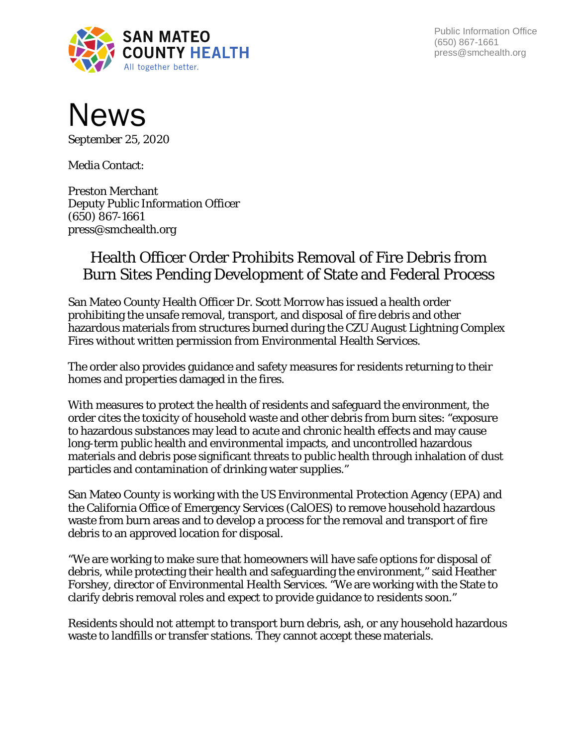

Public Information Office (650) 867-1661 press@smchealth.org



*September 25, 2020*

Media Contact:

Preston Merchant Deputy Public Information Officer (650) 867-1661 press@smchealth.org

## Health Officer Order Prohibits Removal of Fire Debris from Burn Sites Pending Development of State and Federal Process

San Mateo County Health Officer Dr. Scott Morrow has issued a health order prohibiting the unsafe removal, transport, and disposal of fire debris and other hazardous materials from structures burned during the CZU August Lightning Complex Fires without written permission from Environmental Health Services.

The order also provides guidance and safety measures for residents returning to their homes and properties damaged in the fires.

With measures to protect the health of residents and safeguard the environment, the order cites the toxicity of household waste and other debris from burn sites: "exposure to hazardous substances may lead to acute and chronic health effects and may cause long-term public health and environmental impacts, and uncontrolled hazardous materials and debris pose significant threats to public health through inhalation of dust particles and contamination of drinking water supplies."

San Mateo County is working with the US Environmental Protection Agency (EPA) and the California Office of Emergency Services (CalOES) to remove household hazardous waste from burn areas and to develop a process for the removal and transport of fire debris to an approved location for disposal.

"We are working to make sure that homeowners will have safe options for disposal of debris, while protecting their health and safeguarding the environment," said Heather Forshey, director of Environmental Health Services. "We are working with the State to clarify debris removal roles and expect to provide guidance to residents soon."

Residents should not attempt to transport burn debris, ash, or any household hazardous waste to landfills or transfer stations. They cannot accept these materials.